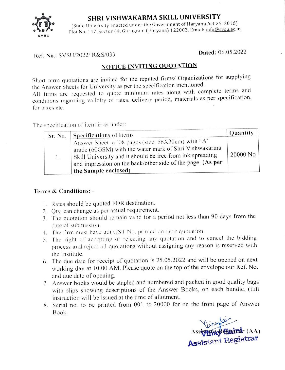

## SHRI VISHWAKARMA SKILL UNIVERSITY

(State University enacted under the Government of Haryana Act 25, 2016) Plot No. 147, Sector 44, Gurugram (Haryana) 122003, Email: info@svsu.ac.in

## Dated: 06.05.2022 Ref. No.: SVSU/2022/ R&S/033

## NOTICE INVITING QUOTATION

Short term quotations are invited for the reputed firms/ Organizations for supplying the Answer Sheets for University as per the specification mentioned. All firms are requested to quote minimum rates along with complete terms and

conditions regarding validity of rates, delivery period, materials as per specitication, for taxes ctc.

The specitication of item is as under:

| Sr. No. | <b>Specifications of Items</b>                                                                                                                                                                                                                                | Quantity |
|---------|---------------------------------------------------------------------------------------------------------------------------------------------------------------------------------------------------------------------------------------------------------------|----------|
| 1.      | Answer Sheet of 08 pages (size: 58X30cm) with "A"<br>grade (60GSM) with the water mark of Shri Vishwakarma<br>Skill University and it should be free from ink spreading<br>and impression on the back/other side of the page. (As per<br>the Sample enclosed) | 20000 No |

## Terms & Conditions: -

- . Rates should be quoted FOR destination.
- 2. Qty. can change as per actual requirement.
- The quotation should remain valid for a period not less than 90 days from the B. date of' submission.
- 4. The lirm must have got GST No. prunted on their quotation.
- 5. The right of accepting or rejecting any quotation and to cancel the bidding process and reject all quotations Without assigning any reason is reserved with the Institute.
- The due daie for receipt of quotation is 25.05.2022 and will be opened on next 6. working day at 10:00 AM. Please quote on the top of the envelope our Ref. No. and due date of opening.
- 7. Answer books would be stapled and numbered and packed in good quality bags with slips showing descriptions of the Answer Books, on each bundle, (full instruction will be issued at the time of allotment.
- 8. Serial no. to be printed from 001 to 20000 for on the front page of Answer Book.

Vincontain Assiythad Bainir (AA) Assistant Registrar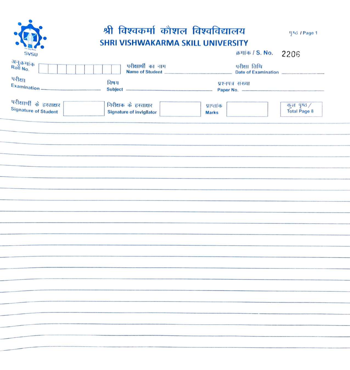|                                                         | श्री विश्वकर्मा कौशल विश्वविद्यालय<br>SHRI VISHWAKARMA SKILL UNIVERSITY |                                     | ytd / Page 1                       |
|---------------------------------------------------------|-------------------------------------------------------------------------|-------------------------------------|------------------------------------|
| <b>SVSU</b>                                             |                                                                         | கார்க / S. No. 2206                 |                                    |
| अनुक्रमांक<br>Roll No.                                  | परीक्षार्थी का नाम<br>Name of Student                                   | परीक्षा तिथि<br>Date of Examination |                                    |
| परीक्षा<br>Examination —                                | विषय                                                                    | प्रश्नपत्र संख्या                   |                                    |
| परीक्षार्थी के हस्ताक्षर<br><b>Signature of Student</b> | निरीक्षक के हस्ताक्षर<br><b>Signature of invigilator</b>                | प्राप्ताक<br><b>Marks</b>           | कुल पृष्ठ /<br><b>Total Page 8</b> |
|                                                         |                                                                         |                                     |                                    |
|                                                         |                                                                         |                                     |                                    |
|                                                         |                                                                         |                                     |                                    |
|                                                         |                                                                         |                                     |                                    |
|                                                         |                                                                         |                                     |                                    |
|                                                         |                                                                         |                                     |                                    |
|                                                         |                                                                         |                                     |                                    |
|                                                         |                                                                         |                                     |                                    |
|                                                         |                                                                         |                                     |                                    |
|                                                         |                                                                         |                                     |                                    |
|                                                         |                                                                         |                                     |                                    |
|                                                         |                                                                         |                                     |                                    |
|                                                         |                                                                         |                                     |                                    |
|                                                         |                                                                         |                                     |                                    |
|                                                         |                                                                         |                                     |                                    |
|                                                         |                                                                         |                                     |                                    |
|                                                         |                                                                         |                                     |                                    |
|                                                         |                                                                         |                                     |                                    |
|                                                         |                                                                         |                                     |                                    |